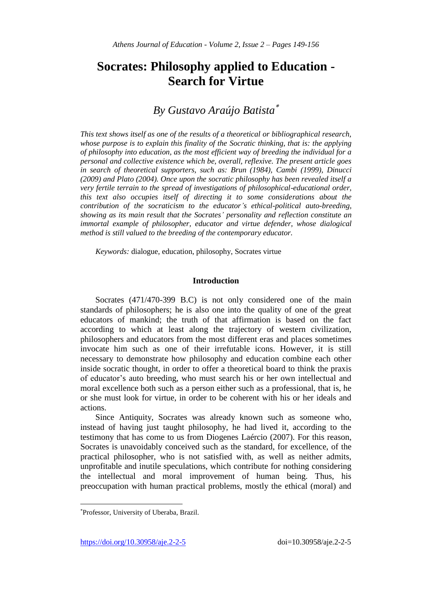# **Socrates: Philosophy applied to Education - Search for Virtue**

## *By Gustavo Araújo Batista*

*This text shows itself as one of the results of a theoretical or bibliographical research, whose purpose is to explain this finality of the Socratic thinking, that is: the applying of philosophy into education, as the most efficient way of breeding the individual for a personal and collective existence which be, overall, reflexive. The present article goes in search of theoretical supporters, such as: Brun (1984), Cambi (1999), Dinucci (2009) and Plato (2004). Once upon the socratic philosophy has been revealed itself a very fertile terrain to the spread of investigations of philosophical-educational order, this text also occupies itself of directing it to some considerations about the contribution of the socraticism to the educator's ethical-political auto-breeding, showing as its main result that the Socrates' personality and reflection constitute an immortal example of philosopher, educator and virtue defender, whose dialogical method is still valued to the breeding of the contemporary educator.*

*Keywords:* dialogue, education, philosophy, Socrates virtue

#### **Introduction**

Socrates (471/470-399 B.C) is not only considered one of the main standards of philosophers; he is also one into the quality of one of the great educators of mankind; the truth of that affirmation is based on the fact according to which at least along the trajectory of western civilization, philosophers and educators from the most different eras and places sometimes invocate him such as one of their irrefutable icons. However, it is still necessary to demonstrate how philosophy and education combine each other inside socratic thought, in order to offer a theoretical board to think the praxis of educator's auto breeding, who must search his or her own intellectual and moral excellence both such as a person either such as a professional, that is, he or she must look for virtue, in order to be coherent with his or her ideals and actions.

Since Antiquity, Socrates was already known such as someone who, instead of having just taught philosophy, he had lived it, according to the testimony that has come to us from Diogenes Laércio (2007). For this reason, Socrates is unavoidably conceived such as the standard, for excellence, of the practical philosopher, who is not satisfied with, as well as neither admits, unprofitable and inutile speculations, which contribute for nothing considering the intellectual and moral improvement of human being. Thus, his preoccupation with human practical problems, mostly the ethical (moral) and

https://doi.org/10.30958/aje.2-2-5 doi=10.30958/aje.2-2-5

 $\overline{a}$ 

Professor, University of Uberaba, Brazil.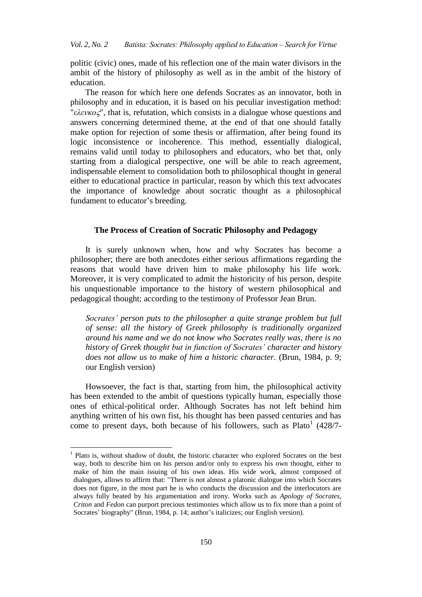politic (civic) ones, made of his reflection one of the main water divisors in the ambit of the history of philosophy as well as in the ambit of the history of education.

The reason for which here one defends Socrates as an innovator, both in philosophy and in education, it is based on his peculiar investigation method: "*ελενκος*", that is, refutation, which consists in a dialogue whose questions and answers concerning determined theme, at the end of that one should fatally make option for rejection of some thesis or affirmation, after being found its logic inconsistence or incoherence. This method, essentially dialogical, remains valid until today to philosophers and educators, who bet that, only starting from a dialogical perspective, one will be able to reach agreement, indispensable element to consolidation both to philosophical thought in general either to educational practice in particular, reason by which this text advocates the importance of knowledge about socratic thought as a philosophical fundament to educator's breeding.

#### **The Process of Creation of Socratic Philosophy and Pedagogy**

It is surely unknown when, how and why Socrates has become a philosopher; there are both anecdotes either serious affirmations regarding the reasons that would have driven him to make philosophy his life work. Moreover, it is very complicated to admit the historicity of his person, despite his unquestionable importance to the history of western philosophical and pedagogical thought; according to the testimony of Professor Jean Brun.

*Socrates' person puts to the philosopher a quite strange problem but full of sense: all the history of Greek philosophy is traditionally organized around his name and we do not know who Socrates really was, there is no history of Greek thought but in function of Socrates' character and history does not allow us to make of him a historic character.* (Brun, 1984, p. 9; our English version)

Howsoever, the fact is that, starting from him, the philosophical activity has been extended to the ambit of questions typically human, especially those ones of ethical-political order. Although Socrates has not left behind him anything written of his own fist, his thought has been passed centuries and has come to present days, both because of his followers, such as  $Plato<sup>1</sup>$  (428/7-

<sup>&</sup>lt;sup>1</sup> Plato is, without shadow of doubt, the historic character who explored Socrates on the best way, both to describe him on his person and/or only to express his own thought, either to make of him the main issuing of his own ideas. His wide work, almost composed of dialogues, allows to affirm that: "There is not almost a platonic dialogue into which Socrates does not figure, in the most part he is who conducts the discussion and the interlocutors are always fully beated by his argumentation and irony. Works such as *Apology of Socrates*, *Criton* and *Fedon* can purport precious testimonies which allow us to fix more than a point of Socrates' biography" (Brun, 1984, p. 14; author's italicizes; our English version).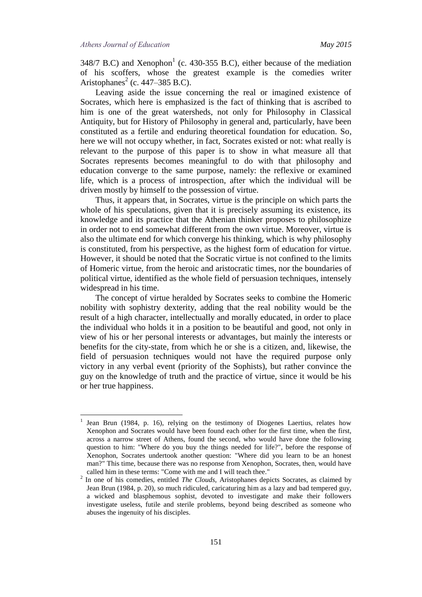$\overline{a}$ 

348/7 B.C) and Xenophon<sup>1</sup> (c. 430-355 B.C), either because of the mediation of his scoffers, whose the greatest example is the comedies writer Aristophanes<sup>2</sup> (c. 447–385 B.C).

Leaving aside the issue concerning the real or imagined existence of Socrates, which here is emphasized is the fact of thinking that is ascribed to him is one of the great watersheds, not only for Philosophy in Classical Antiquity, but for History of Philosophy in general and, particularly, have been constituted as a fertile and enduring theoretical foundation for education. So, here we will not occupy whether, in fact, Socrates existed or not: what really is relevant to the purpose of this paper is to show in what measure all that Socrates represents becomes meaningful to do with that philosophy and education converge to the same purpose, namely: the reflexive or examined life, which is a process of introspection, after which the individual will be driven mostly by himself to the possession of virtue.

Thus, it appears that, in Socrates, virtue is the principle on which parts the whole of his speculations, given that it is precisely assuming its existence, its knowledge and its practice that the Athenian thinker proposes to philosophize in order not to end somewhat different from the own virtue. Moreover, virtue is also the ultimate end for which converge his thinking, which is why philosophy is constituted, from his perspective, as the highest form of education for virtue. However, it should be noted that the Socratic virtue is not confined to the limits of Homeric virtue, from the heroic and aristocratic times, nor the boundaries of political virtue, identified as the whole field of persuasion techniques, intensely widespread in his time.

The concept of virtue heralded by Socrates seeks to combine the Homeric nobility with sophistry dexterity, adding that the real nobility would be the result of a high character, intellectually and morally educated, in order to place the individual who holds it in a position to be beautiful and good, not only in view of his or her personal interests or advantages, but mainly the interests or benefits for the city-state, from which he or she is a citizen, and, likewise, the field of persuasion techniques would not have the required purpose only victory in any verbal event (priority of the Sophists), but rather convince the guy on the knowledge of truth and the practice of virtue, since it would be his or her true happiness.

<sup>1</sup> Jean Brun (1984, p. 16), relying on the testimony of Diogenes Laertius, relates how Xenophon and Socrates would have been found each other for the first time, when the first, across a narrow street of Athens, found the second, who would have done the following question to him: "Where do you buy the things needed for life?", before the response of Xenophon, Socrates undertook another question: "Where did you learn to be an honest man?" This time, because there was no response from Xenophon, Socrates, then, would have called him in these terms: "Come with me and I will teach thee."

<sup>2</sup> In one of his comedies, entitled *The Clouds*, Aristophanes depicts Socrates, as claimed by Jean Brun (1984, p. 20), so much ridiculed, caricaturing him as a lazy and bad tempered guy, a wicked and blasphemous sophist, devoted to investigate and make their followers investigate useless, futile and sterile problems, beyond being described as someone who abuses the ingenuity of his disciples.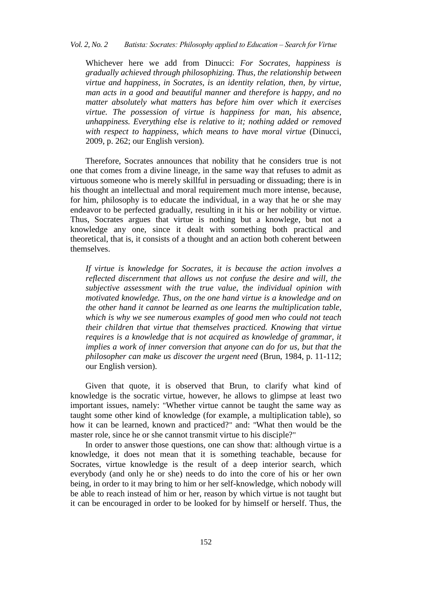Whichever here we add from Dinucci: *For Socrates, happiness is gradually achieved through philosophizing. Thus, the relationship between virtue and happiness, in Socrates, is an identity relation, then, by virtue, man acts in a good and beautiful manner and therefore is happy, and no matter absolutely what matters has before him over which it exercises virtue. The possession of virtue is happiness for man, his absence, unhappiness. Everything else is relative to it; nothing added or removed with respect to happiness, which means to have moral virtue* (Dinucci, 2009, p. 262; our English version).

Therefore, Socrates announces that nobility that he considers true is not one that comes from a divine lineage, in the same way that refuses to admit as virtuous someone who is merely skillful in persuading or dissuading; there is in his thought an intellectual and moral requirement much more intense, because, for him, philosophy is to educate the individual, in a way that he or she may endeavor to be perfected gradually, resulting in it his or her nobility or virtue. Thus, Socrates argues that virtue is nothing but a knowlege, but not a knowledge any one, since it dealt with something both practical and theoretical, that is, it consists of a thought and an action both coherent between themselves.

*If virtue is knowledge for Socrates, it is because the action involves a reflected discernment that allows us not confuse the desire and will, the subjective assessment with the true value, the individual opinion with motivated knowledge. Thus, on the one hand virtue is a knowledge and on the other hand it cannot be learned as one learns the multiplication table, which is why we see numerous examples of good men who could not teach their children that virtue that themselves practiced. Knowing that virtue requires is a knowledge that is not acquired as knowledge of grammar, it implies a work of inner conversion that anyone can do for us, but that the philosopher can make us discover the urgent need* (Brun, 1984, p. 11-112; our English version).

Given that quote, it is observed that Brun, to clarify what kind of knowledge is the socratic virtue, however, he allows to glimpse at least two important issues, namely: "Whether virtue cannot be taught the same way as taught some other kind of knowledge (for example, a multiplication table), so how it can be learned, known and practiced?" and: "What then would be the master role, since he or she cannot transmit virtue to his disciple?"

In order to answer those questions, one can show that: although virtue is a knowledge, it does not mean that it is something teachable, because for Socrates, virtue knowledge is the result of a deep interior search, which everybody (and only he or she) needs to do into the core of his or her own being, in order to it may bring to him or her self-knowledge, which nobody will be able to reach instead of him or her, reason by which virtue is not taught but it can be encouraged in order to be looked for by himself or herself. Thus, the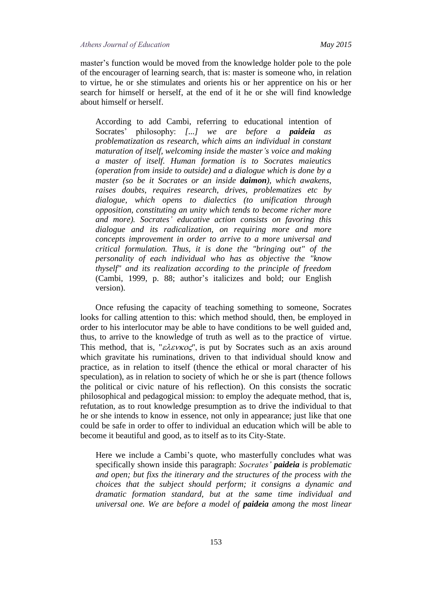master's function would be moved from the knowledge holder pole to the pole of the encourager of learning search, that is: master is someone who, in relation to virtue, he or she stimulates and orients his or her apprentice on his or her search for himself or herself, at the end of it he or she will find knowledge about himself or herself.

According to add Cambi, referring to educational intention of Socrates' philosophy: *[...] we are before a paideia as problematization as research, which aims an individual in constant maturation of itself, welcoming inside the master's voice and making a master of itself. Human formation is to Socrates maieutics (operation from inside to outside) and a dialogue which is done by a master (so be it Socrates or an inside daimon), which awakens, raises doubts, requires research, drives, problematizes etc by dialogue, which opens to dialectics (to unification through opposition, constituting an unity which tends to become richer more and more). Socrates' educative action consists on favoring this dialogue and its radicalization, on requiring more and more concepts improvement in order to arrive to a more universal and critical formulation. Thus, it is done the "bringing out" of the personality of each individual who has as objective the "know thyself" and its realization according to the principle of freedom* (Cambi, 1999, p. 88; author's italicizes and bold; our English version).

Once refusing the capacity of teaching something to someone, Socrates looks for calling attention to this: which method should, then, be employed in order to his interlocutor may be able to have conditions to be well guided and, thus, to arrive to the knowledge of truth as well as to the practice of virtue. This method, that is, " $\epsilon \lambda \epsilon \nu \kappa o \zeta$ ", is put by Socrates such as an axis around which gravitate his ruminations, driven to that individual should know and practice, as in relation to itself (thence the ethical or moral character of his speculation), as in relation to society of which he or she is part (thence follows the political or civic nature of his reflection). On this consists the socratic philosophical and pedagogical mission: to employ the adequate method, that is, refutation, as to rout knowledge presumption as to drive the individual to that he or she intends to know in essence, not only in appearance; just like that one could be safe in order to offer to individual an education which will be able to become it beautiful and good, as to itself as to its City-State.

Here we include a Cambi's quote, who masterfully concludes what was specifically shown inside this paragraph: *Socrates' paideia is problematic and open; but fixs the itinerary and the structures of the process with the choices that the subject should perform; it consigns a dynamic and dramatic formation standard, but at the same time individual and universal one. We are before a model of paideia among the most linear*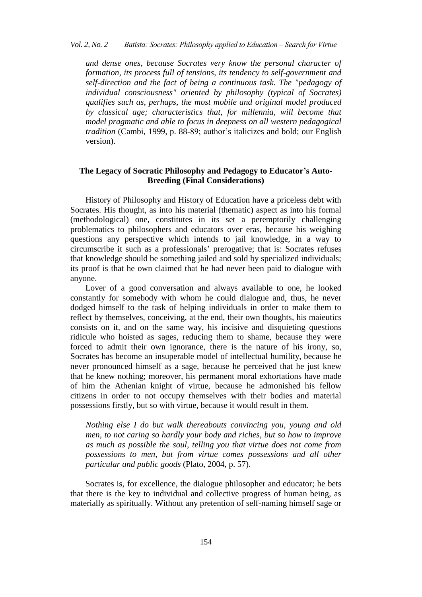*and dense ones, because Socrates very know the personal character of formation, its process full of tensions, its tendency to self-government and self-direction and the fact of being a continuous task. The "pedagogy of individual consciousness" oriented by philosophy (typical of Socrates) qualifies such as, perhaps, the most mobile and original model produced by classical age; characteristics that, for millennia, will become that model pragmatic and able to focus in deepness on all western pedagogical tradition* (Cambi, 1999, p. 88-89; author's italicizes and bold; our English version).

### **The Legacy of Socratic Philosophy and Pedagogy to Educator's Auto-Breeding (Final Considerations)**

History of Philosophy and History of Education have a priceless debt with Socrates. His thought, as into his material (thematic) aspect as into his formal (methodological) one, constitutes in its set a peremptorily challenging problematics to philosophers and educators over eras, because his weighing questions any perspective which intends to jail knowledge, in a way to circumscribe it such as a professionals' prerogative; that is: Socrates refuses that knowledge should be something jailed and sold by specialized individuals; its proof is that he own claimed that he had never been paid to dialogue with anyone.

Lover of a good conversation and always available to one, he looked constantly for somebody with whom he could dialogue and, thus, he never dodged himself to the task of helping individuals in order to make them to reflect by themselves, conceiving, at the end, their own thoughts, his maieutics consists on it, and on the same way, his incisive and disquieting questions ridicule who hoisted as sages, reducing them to shame, because they were forced to admit their own ignorance, there is the nature of his irony, so, Socrates has become an insuperable model of intellectual humility, because he never pronounced himself as a sage, because he perceived that he just knew that he knew nothing; moreover, his permanent moral exhortations have made of him the Athenian knight of virtue, because he admonished his fellow citizens in order to not occupy themselves with their bodies and material possessions firstly, but so with virtue, because it would result in them.

*Nothing else I do but walk thereabouts convincing you, young and old men, to not caring so hardly your body and riches, but so how to improve as much as possible the soul, telling you that virtue does not come from possessions to men, but from virtue comes possessions and all other particular and public goods* (Plato, 2004, p. 57).

Socrates is, for excellence, the dialogue philosopher and educator; he bets that there is the key to individual and collective progress of human being, as materially as spiritually. Without any pretention of self-naming himself sage or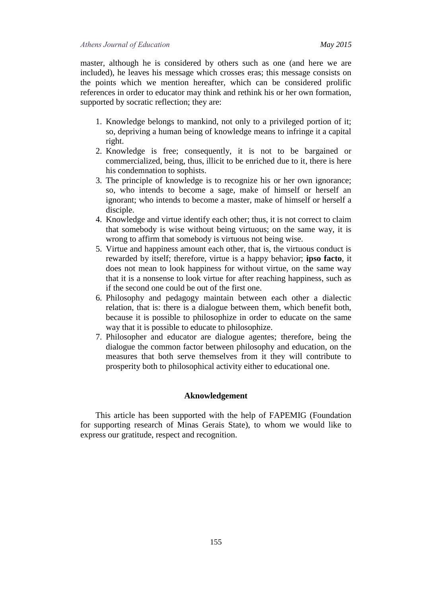master, although he is considered by others such as one (and here we are included), he leaves his message which crosses eras; this message consists on the points which we mention hereafter, which can be considered prolific references in order to educator may think and rethink his or her own formation, supported by socratic reflection; they are:

- 1. Knowledge belongs to mankind, not only to a privileged portion of it; so, depriving a human being of knowledge means to infringe it a capital right.
- 2. Knowledge is free; consequently, it is not to be bargained or commercialized, being, thus, illicit to be enriched due to it, there is here his condemnation to sophists.
- 3. The principle of knowledge is to recognize his or her own ignorance; so, who intends to become a sage, make of himself or herself an ignorant; who intends to become a master, make of himself or herself a disciple.
- 4. Knowledge and virtue identify each other; thus, it is not correct to claim that somebody is wise without being virtuous; on the same way, it is wrong to affirm that somebody is virtuous not being wise.
- 5. Virtue and happiness amount each other, that is, the virtuous conduct is rewarded by itself; therefore, virtue is a happy behavior; **ipso facto**, it does not mean to look happiness for without virtue, on the same way that it is a nonsense to look virtue for after reaching happiness, such as if the second one could be out of the first one.
- 6. Philosophy and pedagogy maintain between each other a dialectic relation, that is: there is a dialogue between them, which benefit both, because it is possible to philosophize in order to educate on the same way that it is possible to educate to philosophize.
- 7. Philosopher and educator are dialogue agentes; therefore, being the dialogue the common factor between philosophy and education, on the measures that both serve themselves from it they will contribute to prosperity both to philosophical activity either to educational one.

#### **Aknowledgement**

This article has been supported with the help of FAPEMIG (Foundation for supporting research of Minas Gerais State), to whom we would like to express our gratitude, respect and recognition.